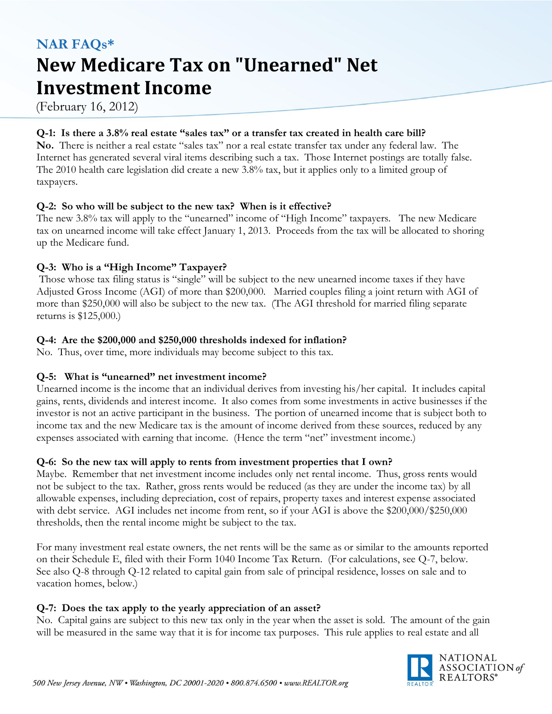# **NAR FAQs\* New Medicare Tax on "Unearned" Net Investment Income**

(February 16, 2012)

#### **Q-1: Is there a 3.8% real estate "sales tax" or a transfer tax created in health care bill?**

**No.** There is neither a real estate "sales tax" nor a real estate transfer tax under any federal law. The Internet has generated several viral items describing such a tax. Those Internet postings are totally false. The 2010 health care legislation did create a new 3.8% tax, but it applies only to a limited group of taxpayers.

## **Q-2: So who will be subject to the new tax? When is it effective?**

The new 3.8% tax will apply to the "unearned" income of "High Income" taxpayers. The new Medicare tax on unearned income will take effect January 1, 2013. Proceeds from the tax will be allocated to shoring up the Medicare fund.

## **Q-3: Who is a "High Income" Taxpayer?**

Those whose tax filing status is "single" will be subject to the new unearned income taxes if they have Adjusted Gross Income (AGI) of more than \$200,000. Married couples filing a joint return with AGI of more than \$250,000 will also be subject to the new tax. (The AGI threshold for married filing separate returns is \$125,000.)

## **Q-4: Are the \$200,000 and \$250,000 thresholds indexed for inflation?**

No. Thus, over time, more individuals may become subject to this tax.

# **Q-5: What is "unearned" net investment income?**

Unearned income is the income that an individual derives from investing his/her capital. It includes capital gains, rents, dividends and interest income. It also comes from some investments in active businesses if the investor is not an active participant in the business. The portion of unearned income that is subject both to income tax and the new Medicare tax is the amount of income derived from these sources, reduced by any expenses associated with earning that income. (Hence the term "net" investment income.)

#### **Q-6: So the new tax will apply to rents from investment properties that I own?**

Maybe. Remember that net investment income includes only net rental income. Thus, gross rents would not be subject to the tax. Rather, gross rents would be reduced (as they are under the income tax) by all allowable expenses, including depreciation, cost of repairs, property taxes and interest expense associated with debt service. AGI includes net income from rent, so if your AGI is above the \$200,000/\$250,000 thresholds, then the rental income might be subject to the tax.

For many investment real estate owners, the net rents will be the same as or similar to the amounts reported on their Schedule E, filed with their Form 1040 Income Tax Return. (For calculations, see Q-7, below. See also Q-8 through Q-12 related to capital gain from sale of principal residence, losses on sale and to vacation homes, below.)

# **Q-7: Does the tax apply to the yearly appreciation of an asset?**

No. Capital gains are subject to this new tax only in the year when the asset is sold. The amount of the gain will be measured in the same way that it is for income tax purposes. This rule applies to real estate and all

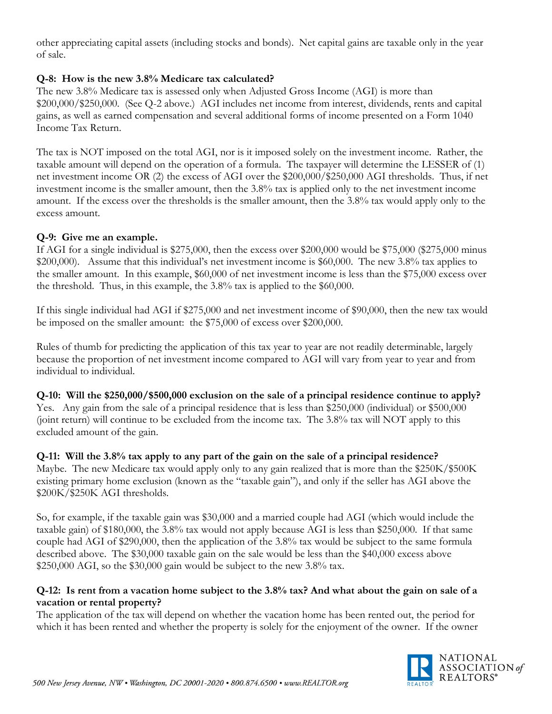other appreciating capital assets (including stocks and bonds). Net capital gains are taxable only in the year of sale.

## **Q-8: How is the new 3.8% Medicare tax calculated?**

The new 3.8% Medicare tax is assessed only when Adjusted Gross Income (AGI) is more than \$200,000/\$250,000. (See Q-2 above.) AGI includes net income from interest, dividends, rents and capital gains, as well as earned compensation and several additional forms of income presented on a Form 1040 Income Tax Return.

The tax is NOT imposed on the total AGI, nor is it imposed solely on the investment income. Rather, the taxable amount will depend on the operation of a formula. The taxpayer will determine the LESSER of (1) net investment income OR (2) the excess of AGI over the \$200,000/\$250,000 AGI thresholds. Thus, if net investment income is the smaller amount, then the 3.8% tax is applied only to the net investment income amount. If the excess over the thresholds is the smaller amount, then the 3.8% tax would apply only to the excess amount.

#### **Q-9: Give me an example.**

If AGI for a single individual is \$275,000, then the excess over \$200,000 would be \$75,000 (\$275,000 minus \$200,000). Assume that this individual's net investment income is \$60,000. The new 3.8% tax applies to the smaller amount. In this example, \$60,000 of net investment income is less than the \$75,000 excess over the threshold. Thus, in this example, the 3.8% tax is applied to the \$60,000.

If this single individual had AGI if \$275,000 and net investment income of \$90,000, then the new tax would be imposed on the smaller amount: the \$75,000 of excess over \$200,000.

Rules of thumb for predicting the application of this tax year to year are not readily determinable, largely because the proportion of net investment income compared to AGI will vary from year to year and from individual to individual.

**Q-10: Will the \$250,000/\$500,000 exclusion on the sale of a principal residence continue to apply?**  Yes. Any gain from the sale of a principal residence that is less than \$250,000 (individual) or \$500,000 (joint return) will continue to be excluded from the income tax. The 3.8% tax will NOT apply to this excluded amount of the gain.

#### **Q-11: Will the 3.8% tax apply to any part of the gain on the sale of a principal residence?**

Maybe. The new Medicare tax would apply only to any gain realized that is more than the \$250K/\$500K existing primary home exclusion (known as the "taxable gain"), and only if the seller has AGI above the \$200K/\$250K AGI thresholds.

So, for example, if the taxable gain was \$30,000 and a married couple had AGI (which would include the taxable gain) of \$180,000, the 3.8% tax would not apply because AGI is less than \$250,000. If that same couple had AGI of \$290,000, then the application of the 3.8% tax would be subject to the same formula described above. The \$30,000 taxable gain on the sale would be less than the \$40,000 excess above  $$250,000$  AGI, so the  $$30,000$  gain would be subject to the new 3.8% tax.

#### **Q-12: Is rent from a vacation home subject to the 3.8% tax? And what about the gain on sale of a vacation or rental property?**

The application of the tax will depend on whether the vacation home has been rented out, the period for which it has been rented and whether the property is solely for the enjoyment of the owner. If the owner

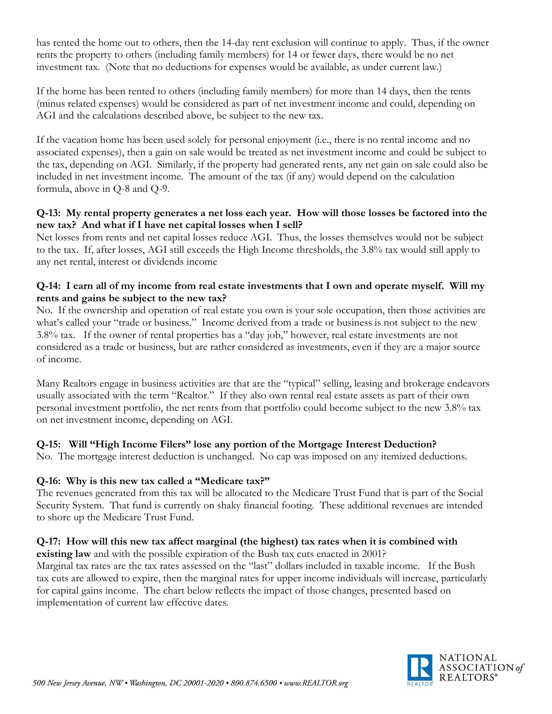has rented the home out to others, then the 14-day rent exclusion will continue to apply. Thus, if the owner rents the property to others (including family members) for 14 or fewer days, there would be no net investment tax. (Note that no deductions for expenses would be available, as under current law.)

If the home has been rented to others (including family members) for more than 14 days, then the rents (minus related expenses) would be considered as part of net investment income and could, depending on AGI and the calculations described above, be subject to the new tax.

If the vacation home has been used solely for personal enjoyment (i.e., there is no rental income and no associated expenses), then a gain on sale would be treated as net investment income and could be subject to the tax, depending on AGI. Similarly, if the property had generated rents, any net gain on sale could also be included in net investment income. The amount of the tax (if any) would depend on the calculation formula, above in Q-8 and Q-9.

#### **Q-13: My rental property generates a net loss each year. How will those losses be factored into the new tax? And what if I have net capital losses when I sell?**

Net losses from rents and net capital losses reduce AGI. Thus, the losses themselves would not be subject to the tax. If, after losses, AGI still exceeds the High Income thresholds, the 3.8% tax would still apply to any net rental, interest or dividends income

#### **Q-14: I earn all of my income from real estate investments that I own and operate myself. Will my rents and gains be subject to the new tax?**

No. If the ownership and operation of real estate you own is your sole occupation, then those activities are what's called your "trade or business." Income derived from a trade or business is not subject to the new 3.8% tax. If the owner of rental properties has a "day job," however, real estate investments are not considered as a trade or business, but are rather considered as investments, even if they are a major source of income.

Many Realtors engage in business activities are that are the "typical" selling, leasing and brokerage endeavors usually associated with the term "Realtor." If they also own rental real estate assets as part of their own personal investment portfolio, the net rents from that portfolio could become subject to the new 3.8% tax on net investment income, depending on AGI.

# **Q-15: Will "High Income Filers" lose any portion of the Mortgage Interest Deduction?**

No. The mortgage interest deduction is unchanged. No cap was imposed on any itemized deductions.

# **Q-16: Why is this new tax called a "Medicare tax?"**

The revenues generated from this tax will be allocated to the Medicare Trust Fund that is part of the Social Security System. That fund is currently on shaky financial footing. These additional revenues are intended to shore up the Medicare Trust Fund.

# **Q-17: How will this new tax affect marginal (the highest) tax rates when it is combined with**

**existing law** and with the possible expiration of the Bush tax cuts enacted in 2001? Marginal tax rates are the tax rates assessed on the "last" dollars included in taxable income. If the Bush tax cuts are allowed to expire, then the marginal rates for upper income individuals will increase, particularly for capital gains income. The chart below reflects the impact of those changes, presented based on implementation of current law effective dates.